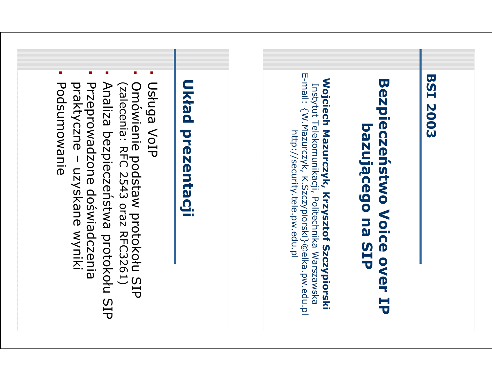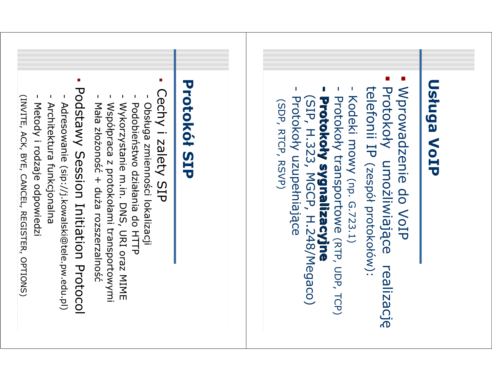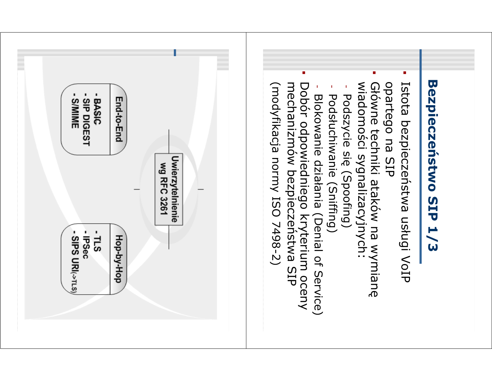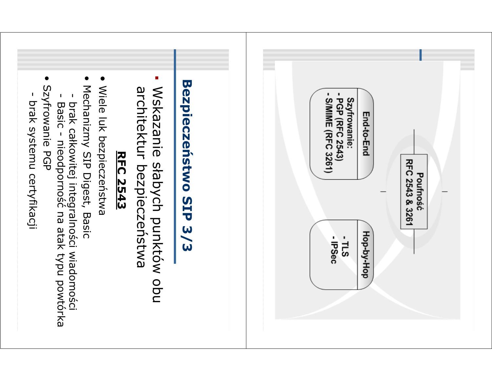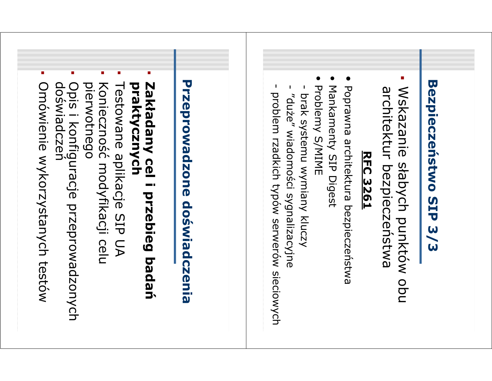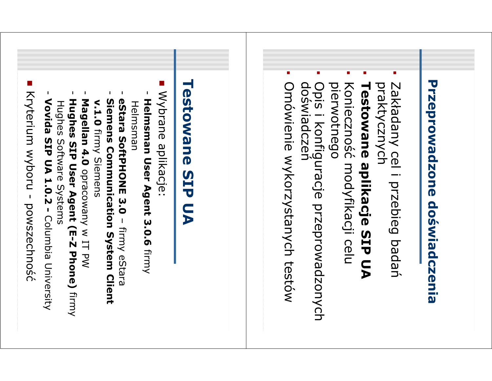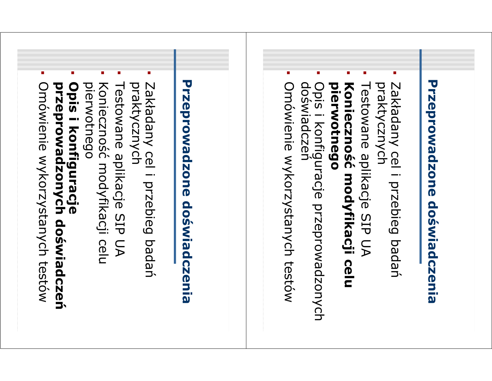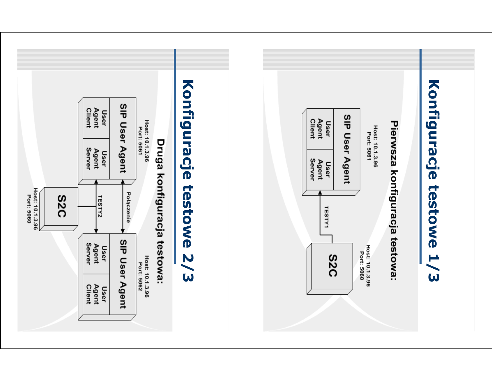![](_page_7_Figure_0.jpeg)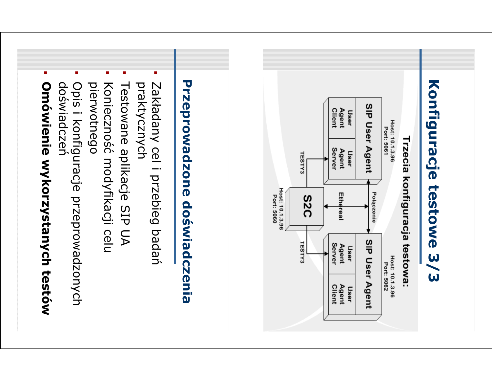![](_page_8_Figure_0.jpeg)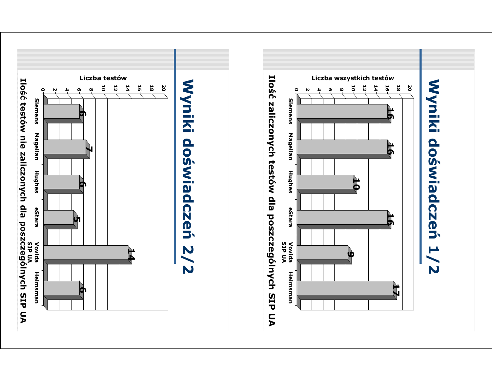![](_page_9_Figure_0.jpeg)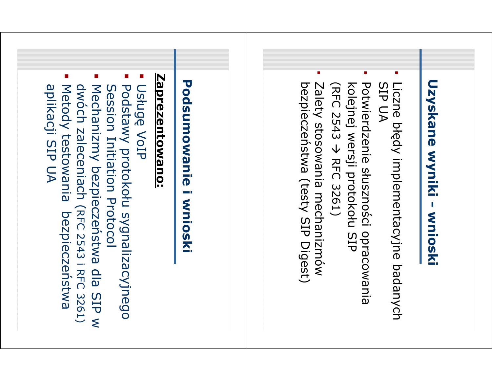![](_page_10_Figure_0.jpeg)